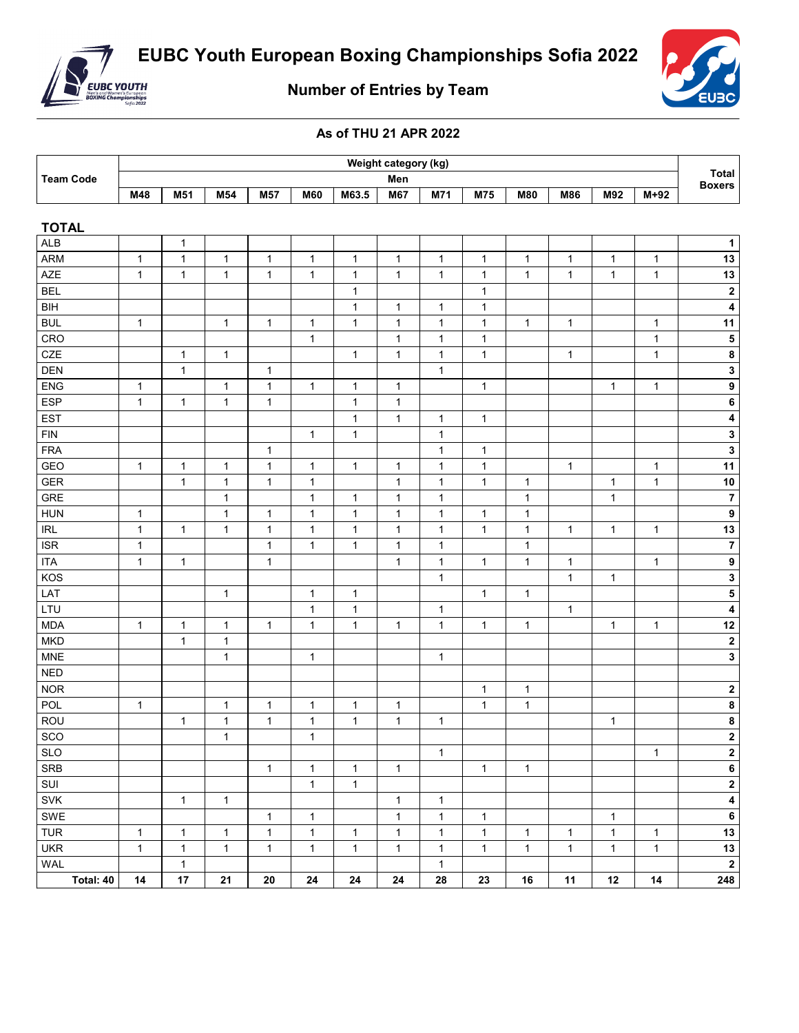



**Number of Entries by Team**

## **As of THU 21 APR 2022**

| <b>Team Code</b> | Weight category (kg) |     |     |                 |            |       |     |     |     |            |     |     |                               |  |
|------------------|----------------------|-----|-----|-----------------|------------|-------|-----|-----|-----|------------|-----|-----|-------------------------------|--|
|                  |                      | Men |     |                 |            |       |     |     |     |            |     |     | <b>Total</b><br><b>Boxers</b> |  |
|                  | M48                  | M51 | M54 | M <sub>57</sub> | <b>M60</b> | M63.5 | M67 | M71 | M75 | <b>M80</b> | M86 | M92 | $M+92$                        |  |
|                  |                      |     |     |                 |            |       |     |     |     |            |     |     |                               |  |

| <b>TOTAL</b>   |              |              |              |              |              |              |              |              |                |              |              |              |              |                         |
|----------------|--------------|--------------|--------------|--------------|--------------|--------------|--------------|--------------|----------------|--------------|--------------|--------------|--------------|-------------------------|
| <b>ALB</b>     |              | $\mathbf{1}$ |              |              |              |              |              |              |                |              |              |              |              | $\mathbf{1}$            |
| <b>ARM</b>     | $\mathbf{1}$ | $\mathbf{1}$ | $\mathbf 1$  | $\mathbf{1}$ | $\mathbf{1}$ | $\mathbf 1$  | $\mathbf 1$  | $\mathbf{1}$ | $\mathbf{1}$   | $\mathbf{1}$ | $\mathbf{1}$ | $\mathbf{1}$ | $\mathbf{1}$ | 13                      |
| <b>AZE</b>     | $\mathbf{1}$ | $\mathbf{1}$ | $\mathbf{1}$ | $\mathbf{1}$ | $\mathbf{1}$ | $\mathbf{1}$ | $\mathbf{1}$ | $\mathbf{1}$ | $\mathbf{1}$   | $\mathbf{1}$ | $\mathbf{1}$ | $\mathbf{1}$ | $\mathbf{1}$ | 13                      |
| <b>BEL</b>     |              |              |              |              |              | $\mathbf{1}$ |              |              | $\mathbf{1}$   |              |              |              |              | $\overline{2}$          |
| <b>BIH</b>     |              |              |              |              |              | $\mathbf{1}$ | $\mathbf{1}$ | $\mathbf{1}$ | $\mathbf{1}$   |              |              |              |              | $\overline{\mathbf{4}}$ |
| <b>BUL</b>     | $\mathbf{1}$ |              | $\mathbf{1}$ | $\mathbf{1}$ | $\mathbf{1}$ | $\mathbf{1}$ | $\mathbf{1}$ | $\mathbf{1}$ | $\overline{1}$ | $\mathbf{1}$ | $\mathbf{1}$ |              | $\mathbf{1}$ | 11                      |
| CRO            |              |              |              |              | $\mathbf{1}$ |              | $\mathbf{1}$ | $\mathbf{1}$ | $\overline{1}$ |              |              |              | $\mathbf{1}$ | $\overline{\mathbf{5}}$ |
| CZE            |              | $\mathbf{1}$ | $\mathbf{1}$ |              |              | $\mathbf{1}$ | $\mathbf{1}$ | $\mathbf{1}$ | $\mathbf{1}$   |              | $\mathbf{1}$ |              | $\mathbf{1}$ | $\overline{\mathbf{8}}$ |
| <b>DEN</b>     |              | $\mathbf{1}$ |              | $\mathbf{1}$ |              |              |              | $\mathbf{1}$ |                |              |              |              |              | $\overline{\mathbf{3}}$ |
| ENG            | $\mathbf{1}$ |              | $\mathbf{1}$ | $\mathbf{1}$ | $\mathbf{1}$ | $\mathbf{1}$ | $\mathbf{1}$ |              | $\mathbf{1}$   |              |              | $\mathbf{1}$ | $\mathbf{1}$ | $\overline{9}$          |
| <b>ESP</b>     | $\mathbf{1}$ | $\mathbf{1}$ | $\mathbf{1}$ | $\mathbf{1}$ |              | $\mathbf{1}$ | $\mathbf{1}$ |              |                |              |              |              |              | $\bf 6$                 |
| <b>EST</b>     |              |              |              |              |              | $\mathbf{1}$ | $\mathbf 1$  | $\mathbf{1}$ | $\mathbf{1}$   |              |              |              |              | $\overline{4}$          |
| <b>FIN</b>     |              |              |              |              | $\mathbf{1}$ | $\mathbf{1}$ |              | $\mathbf{1}$ |                |              |              |              |              | $\overline{\mathbf{3}}$ |
| <b>FRA</b>     |              |              |              | $\mathbf{1}$ |              |              |              | $\mathbf{1}$ | $\mathbf 1$    |              |              |              |              | $\overline{\mathbf{3}}$ |
| GEO            | $\mathbf{1}$ | $\mathbf{1}$ | $\mathbf{1}$ | $\mathbf{1}$ | $\mathbf{1}$ | $\mathbf 1$  | $\mathbf{1}$ | $\mathbf{1}$ | $\mathbf{1}$   |              | $\mathbf{1}$ |              | $\mathbf{1}$ | 11                      |
| <b>GER</b>     |              | $\mathbf{1}$ | $\mathbf{1}$ | $\mathbf{1}$ | $\mathbf{1}$ |              | $\mathbf{1}$ | $\mathbf{1}$ | $\mathbf{1}$   | $\mathbf{1}$ |              | $\mathbf{1}$ | $\mathbf{1}$ | 10                      |
| <b>GRE</b>     |              |              | $\mathbf{1}$ |              | $\mathbf{1}$ | $\mathbf 1$  | $\mathbf{1}$ | $\mathbf{1}$ |                | $\mathbf{1}$ |              | $\mathbf{1}$ |              | $\overline{7}$          |
| <b>HUN</b>     | $\mathbf{1}$ |              | $\mathbf{1}$ | $\mathbf{1}$ | $\mathbf{1}$ | $\mathbf{1}$ | $\mathbf{1}$ | $\mathbf{1}$ | $\mathbf{1}$   | $\mathbf{1}$ |              |              |              | $\boldsymbol{9}$        |
| <b>IRL</b>     | $\mathbf{1}$ | $\mathbf{1}$ | $\mathbf{1}$ | $\mathbf{1}$ | $\mathbf{1}$ | $\mathbf{1}$ | $\mathbf{1}$ | $\mathbf{1}$ | $\mathbf{1}$   | $\mathbf{1}$ | $\mathbf{1}$ | $\mathbf{1}$ | $\mathbf{1}$ | $\overline{13}$         |
| <b>ISR</b>     | $\mathbf{1}$ |              |              | $\mathbf{1}$ | $\mathbf{1}$ | $\mathbf{1}$ | $\mathbf{1}$ | $\mathbf{1}$ |                | $\mathbf{1}$ |              |              |              | $\overline{\mathbf{7}}$ |
| <b>ITA</b>     | $\mathbf{1}$ | $\mathbf{1}$ |              | $\mathbf{1}$ |              |              | $\mathbf{1}$ | $\mathbf{1}$ | $\mathbf{1}$   | $\mathbf{1}$ | $\mathbf{1}$ |              | $\mathbf{1}$ | $\boldsymbol{9}$        |
| KOS            |              |              |              |              |              |              |              | $\mathbf{1}$ |                |              | $\mathbf{1}$ | $\mathbf{1}$ |              | $\overline{\mathbf{3}}$ |
| LAT            |              |              | $\mathbf{1}$ |              | $\mathbf{1}$ | $\mathbf{1}$ |              |              | $\mathbf{1}$   | $\mathbf{1}$ |              |              |              | $\overline{\mathbf{5}}$ |
| LTU            |              |              |              |              | $\mathbf{1}$ | $\mathbf 1$  |              | $\mathbf{1}$ |                |              | $\mathbf{1}$ |              |              | $\overline{\mathbf{4}}$ |
| <b>MDA</b>     | $\mathbf{1}$ | $\mathbf 1$  | $\mathbf{1}$ | $\mathbf{1}$ | $\mathbf{1}$ | $\mathbf{1}$ | $\mathbf{1}$ | $\mathbf{1}$ | $\mathbf 1$    | $\mathbf{1}$ |              | $\mathbf{1}$ | $\mathbf{1}$ | 12                      |
| <b>MKD</b>     |              | $\mathbf{1}$ | $\mathbf{1}$ |              |              |              |              |              |                |              |              |              |              | $\overline{\mathbf{2}}$ |
| <b>MNE</b>     |              |              | $\mathbf{1}$ |              | $\mathbf{1}$ |              |              | $\mathbf{1}$ |                |              |              |              |              | $\overline{\mathbf{3}}$ |
| <b>NED</b>     |              |              |              |              |              |              |              |              |                |              |              |              |              |                         |
| <b>NOR</b>     |              |              |              |              |              |              |              |              | $\mathbf{1}$   | $\mathbf{1}$ |              |              |              | $\mathbf 2$             |
| POL            | $\mathbf{1}$ |              | $\mathbf{1}$ | $\mathbf{1}$ | $\mathbf{1}$ | $\mathbf{1}$ | $\mathbf 1$  |              | $\mathbf{1}$   | $\mathbf{1}$ |              |              |              | $\pmb{8}$               |
| ROU            |              | $\mathbf{1}$ | $\mathbf{1}$ | $\mathbf{1}$ | $\mathbf{1}$ | $\mathbf{1}$ | $\mathbf{1}$ | $\mathbf{1}$ |                |              |              | $\mathbf{1}$ |              | $\overline{\mathbf{8}}$ |
| s <sub>c</sub> |              |              | $\mathbf{1}$ |              | $\mathbf{1}$ |              |              |              |                |              |              |              |              | $\overline{\mathbf{c}}$ |
| <b>SLO</b>     |              |              |              |              |              |              |              | $\mathbf{1}$ |                |              |              |              | $\mathbf{1}$ | $\overline{2}$          |
| <b>SRB</b>     |              |              |              | $\mathbf{1}$ | $\mathbf{1}$ | $\mathbf{1}$ | $\mathbf 1$  |              | $\mathbf 1$    | $\mathbf 1$  |              |              |              | $\overline{6}$          |
| SUI            |              |              |              |              | $\mathbf{1}$ | $\mathbf{1}$ |              |              |                |              |              |              |              | $\overline{2}$          |
| <b>SVK</b>     |              | $\mathbf{1}$ | $\mathbf{1}$ |              |              |              | $\mathbf{1}$ | $\mathbf{1}$ |                |              |              |              |              | $\overline{4}$          |
| <b>SWE</b>     |              |              |              | $\mathbf{1}$ | $\mathbf{1}$ |              | $\mathbf{1}$ | $\mathbf{1}$ | $\mathbf{1}$   |              |              | $\mathbf{1}$ |              | $\bf 6$                 |
| <b>TUR</b>     | $\mathbf{1}$ | $\mathbf{1}$ | $\mathbf{1}$ | $\mathbf{1}$ | $\mathbf{1}$ | $\mathbf{1}$ | $\mathbf{1}$ | $\mathbf{1}$ | $\mathbf{1}$   | $\mathbf{1}$ | $\mathbf{1}$ | $\mathbf{1}$ | 1            | 13                      |
| <b>UKR</b>     | $\mathbf{1}$ | $\mathbf{1}$ | $\mathbf{1}$ | $\mathbf{1}$ | $\mathbf{1}$ | $\mathbf{1}$ | $\mathbf{1}$ | $\mathbf{1}$ | $\mathbf{1}$   | $\mathbf{1}$ | $\mathbf{1}$ | $\mathbf{1}$ | $\mathbf{1}$ | $13$                    |
| <b>WAL</b>     |              | $\mathbf{1}$ |              |              |              |              |              | $\mathbf{1}$ |                |              |              |              |              | $\overline{2}$          |
| Total: 40      | 14           | 17           | 21           | 20           | 24           | 24           | 24           | 28           | 23             | 16           | 11           | 12           | 14           | 248                     |